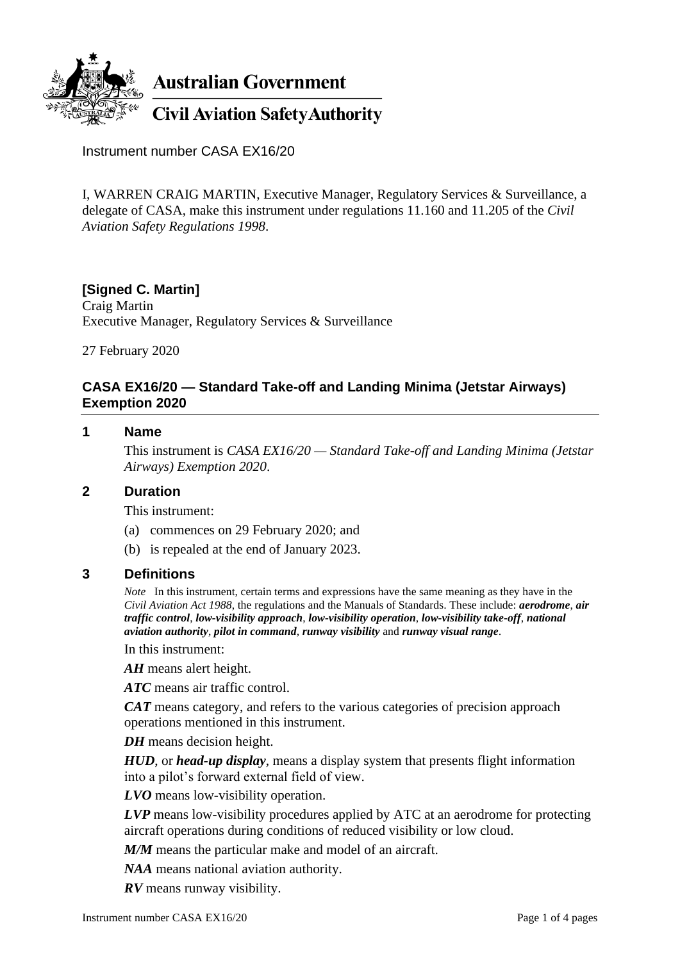

Instrument number CASA EX16/20

I, WARREN CRAIG MARTIN, Executive Manager, Regulatory Services & Surveillance, a delegate of CASA, make this instrument under regulations 11.160 and 11.205 of the *Civil Aviation Safety Regulations 1998*.

# **[Signed C. Martin]**

Craig Martin Executive Manager, Regulatory Services & Surveillance

27 February 2020

#### **CASA EX16/20 — Standard Take-off and Landing Minima (Jetstar Airways) Exemption 2020**

# **1 Name**

This instrument is *CASA EX16/20 — Standard Take-off and Landing Minima (Jetstar Airways) Exemption 2020*.

#### **2 Duration**

This instrument:

- (a) commences on 29 February 2020; and
- (b) is repealed at the end of January 2023.

#### **3 Definitions**

*Note* In this instrument, certain terms and expressions have the same meaning as they have in the *Civil Aviation Act 1988*, the regulations and the Manuals of Standards. These include: *aerodrome*, *air traffic control*, *low-visibility approach*, *low-visibility operation*, *low-visibility take-off*, *national aviation authority*, *pilot in command*, *runway visibility* and *runway visual range*.

In this instrument:

*AH* means alert height.

*ATC* means air traffic control.

*CAT* means category, and refers to the various categories of precision approach operations mentioned in this instrument.

*DH* means decision height.

*HUD*, or *head-up display*, means a display system that presents flight information into a pilot's forward external field of view.

*LVO* means low-visibility operation.

*LVP* means low-visibility procedures applied by ATC at an aerodrome for protecting aircraft operations during conditions of reduced visibility or low cloud.

*M/M* means the particular make and model of an aircraft.

*NAA* means national aviation authority.

*RV* means runway visibility.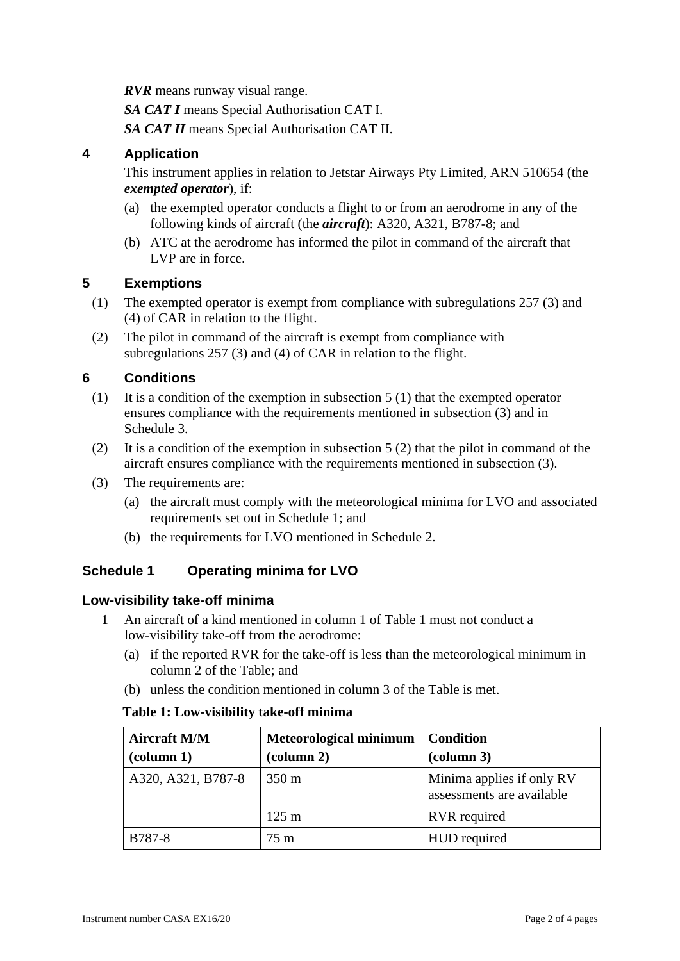*RVR* means runway visual range.

*SA CAT I* means Special Authorisation CAT I.

*SA CAT II* means Special Authorisation CAT II.

## **4 Application**

This instrument applies in relation to Jetstar Airways Pty Limited, ARN 510654 (the *exempted operator*), if:

- (a) the exempted operator conducts a flight to or from an aerodrome in any of the following kinds of aircraft (the *aircraft*): A320, A321, B787-8; and
- (b) ATC at the aerodrome has informed the pilot in command of the aircraft that LVP are in force.

# **5 Exemptions**

- (1) The exempted operator is exempt from compliance with subregulations 257 (3) and (4) of CAR in relation to the flight.
- (2) The pilot in command of the aircraft is exempt from compliance with subregulations 257 (3) and (4) of CAR in relation to the flight.

# **6 Conditions**

- (1) It is a condition of the exemption in subsection 5 (1) that the exempted operator ensures compliance with the requirements mentioned in subsection (3) and in Schedule 3.
- (2) It is a condition of the exemption in subsection 5 (2) that the pilot in command of the aircraft ensures compliance with the requirements mentioned in subsection (3).
- (3) The requirements are:
	- (a) the aircraft must comply with the meteorological minima for LVO and associated requirements set out in Schedule 1; and
	- (b) the requirements for LVO mentioned in Schedule 2.

# **Schedule 1 Operating minima for LVO**

### **Low-visibility take-off minima**

- 1 An aircraft of a kind mentioned in column 1 of Table 1 must not conduct a low-visibility take-off from the aerodrome:
	- (a) if the reported RVR for the take-off is less than the meteorological minimum in column 2 of the Table; and
	- (b) unless the condition mentioned in column 3 of the Table is met.

#### **Table 1: Low-visibility take-off minima**

| <b>Aircraft M/M</b><br>$\alpha$ (column 1) | <b>Meteorological minimum</b><br>(column 2) | <b>Condition</b><br>(column 3)                         |
|--------------------------------------------|---------------------------------------------|--------------------------------------------------------|
| A320, A321, B787-8                         | $350 \text{ m}$                             | Minima applies if only RV<br>assessments are available |
|                                            | $125 \text{ m}$                             | <b>RVR</b> required                                    |
| B787-8                                     | 75 m                                        | HUD required                                           |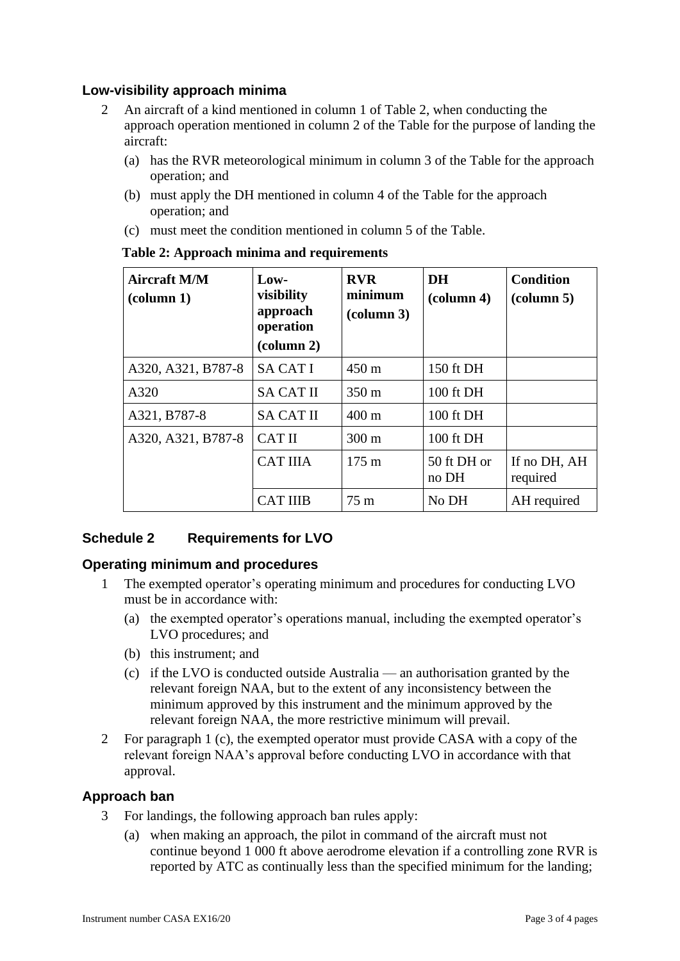# **Low-visibility approach minima**

- 2 An aircraft of a kind mentioned in column 1 of Table 2, when conducting the approach operation mentioned in column 2 of the Table for the purpose of landing the aircraft:
	- (a) has the RVR meteorological minimum in column 3 of the Table for the approach operation; and
	- (b) must apply the DH mentioned in column 4 of the Table for the approach operation; and
	- (c) must meet the condition mentioned in column 5 of the Table.

| <b>Aircraft M/M</b><br>$\left(\text{column } 1\right)$ | $\mathbf{Law}\text{-}$<br>visibility<br>approach<br>operation<br>(column 2) | <b>RVR</b><br>minimum<br>$\alpha$ (column 3) | <b>DH</b><br>$\alpha$ lumn 4) | <b>Condition</b><br>$\left(\text{column } 5\right)$ |
|--------------------------------------------------------|-----------------------------------------------------------------------------|----------------------------------------------|-------------------------------|-----------------------------------------------------|
| A320, A321, B787-8                                     | <b>SA CAT I</b>                                                             | $450 \text{ m}$                              | 150 ft DH                     |                                                     |
| A320                                                   | <b>SA CAT II</b>                                                            | $350 \text{ m}$                              | 100 ft DH                     |                                                     |
| A321, B787-8                                           | <b>SA CAT II</b>                                                            | $400 \text{ m}$                              | $100$ ft DH                   |                                                     |
| A320, A321, B787-8                                     | <b>CAT II</b>                                                               | $300 \text{ m}$                              | 100 ft DH                     |                                                     |
|                                                        | <b>CAT IIIA</b>                                                             | $175 \text{ m}$                              | 50 ft DH or<br>no DH          | If no DH, AH<br>required                            |
|                                                        | <b>CAT IIIB</b>                                                             | 75m                                          | No DH                         | AH required                                         |

#### **Table 2: Approach minima and requirements**

# **Schedule 2 Requirements for LVO**

### **Operating minimum and procedures**

- 1 The exempted operator's operating minimum and procedures for conducting LVO must be in accordance with:
	- (a) the exempted operator's operations manual, including the exempted operator's LVO procedures; and
	- (b) this instrument; and
	- (c) if the LVO is conducted outside Australia an authorisation granted by the relevant foreign NAA, but to the extent of any inconsistency between the minimum approved by this instrument and the minimum approved by the relevant foreign NAA, the more restrictive minimum will prevail.
- 2 For paragraph 1 (c), the exempted operator must provide CASA with a copy of the relevant foreign NAA's approval before conducting LVO in accordance with that approval.

### **Approach ban**

- 3 For landings, the following approach ban rules apply:
	- (a) when making an approach, the pilot in command of the aircraft must not continue beyond 1 000 ft above aerodrome elevation if a controlling zone RVR is reported by ATC as continually less than the specified minimum for the landing;